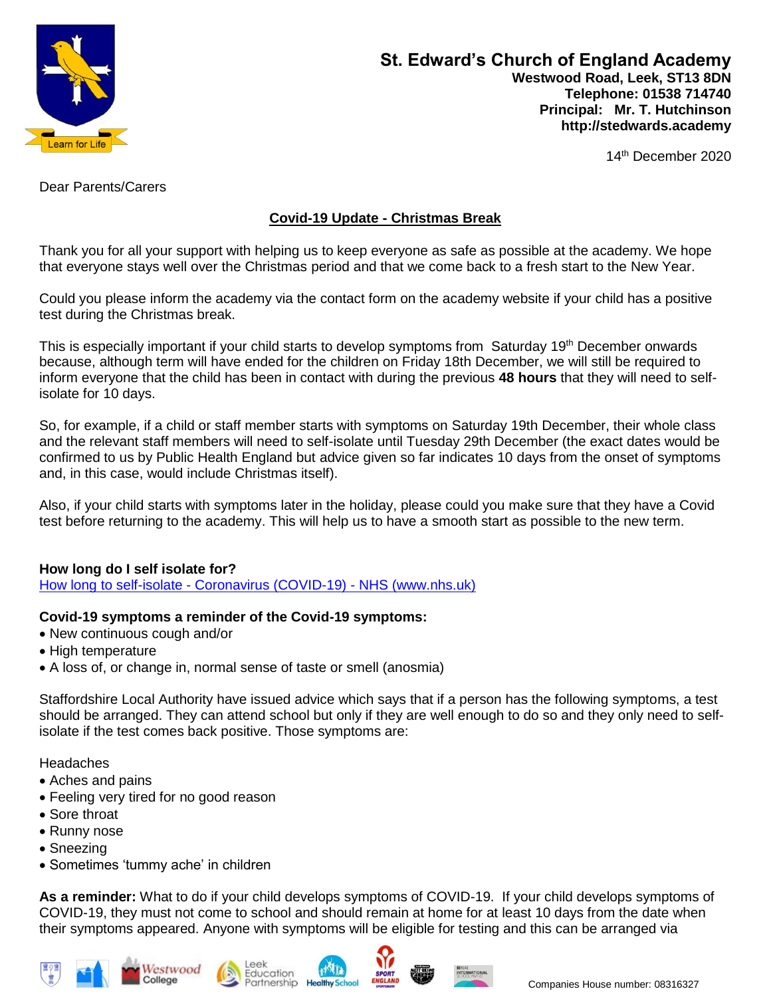

14th December 2020

Dear Parents/Carers

## **Covid-19 Update - Christmas Break**

Thank you for all your support with helping us to keep everyone as safe as possible at the academy. We hope that everyone stays well over the Christmas period and that we come back to a fresh start to the New Year.

Could you please inform the academy via the contact form on the academy website if your child has a positive test during the Christmas break.

This is especially important if your child starts to develop symptoms from Saturday 19<sup>th</sup> December onwards because, although term will have ended for the children on Friday 18th December, we will still be required to inform everyone that the child has been in contact with during the previous **48 hours** that they will need to selfisolate for 10 days.

So, for example, if a child or staff member starts with symptoms on Saturday 19th December, their whole class and the relevant staff members will need to self-isolate until Tuesday 29th December (the exact dates would be confirmed to us by Public Health England but advice given so far indicates 10 days from the onset of symptoms and, in this case, would include Christmas itself).

Also, if your child starts with symptoms later in the holiday, please could you make sure that they have a Covid test before returning to the academy. This will help us to have a smooth start as possible to the new term.

## **How long do I self isolate for?**

How long to self-isolate - [Coronavirus \(COVID-19\) -](https://www.nhs.uk/conditions/coronavirus-covid-19/self-isolation-and-treatment/how-long-to-self-isolate/) NHS (www.nhs.uk)

## **Covid-19 symptoms a reminder of the Covid-19 symptoms:**

- New continuous cough and/or
- High temperature
- A loss of, or change in, normal sense of taste or smell (anosmia)

Staffordshire Local Authority have issued advice which says that if a person has the following symptoms, a test should be arranged. They can attend school but only if they are well enough to do so and they only need to selfisolate if the test comes back positive. Those symptoms are:

**Headaches** 

- Aches and pains
- Feeling very tired for no good reason
- Sore throat
- Runny nose
- Sneezing
- Sometimes 'tummy ache' in children

**As a reminder:** What to do if your child develops symptoms of COVID-19. If your child develops symptoms of COVID-19, they must not come to school and should remain at home for at least 10 days from the date when their symptoms appeared. Anyone with symptoms will be eligible for testing and this can be arranged via